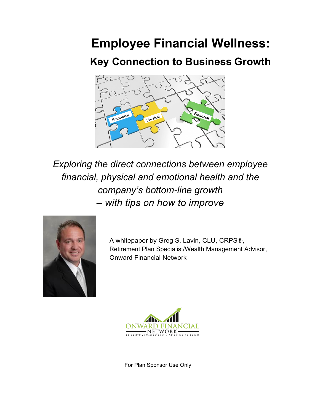# **Employee Financial Wellness:**

# **Key Connection to Business Growth**



*Exploring the direct connections between employee financial, physical and emotional health and the company's bottom-line growth – with tips on how to improve*



A whitepaper by Greg S. Lavin, CLU, CRPS<sup>®</sup>, Retirement Plan Specialist/Wealth Management Advisor, Onward Financial Network



For Plan Sponsor Use Only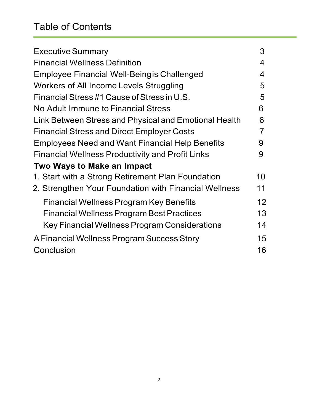# Table of Contents

| <b>Executive Summary</b>                                | 3  |
|---------------------------------------------------------|----|
| <b>Financial Wellness Definition</b>                    | 4  |
| Employee Financial Well-Being is Challenged             | 4  |
| Workers of All Income Levels Struggling                 | 5  |
| Financial Stress #1 Cause of Stress in U.S.             | 5  |
| No Adult Immune to Financial Stress                     | 6  |
| Link Between Stress and Physical and Emotional Health   | 6  |
| <b>Financial Stress and Direct Employer Costs</b>       | 7  |
| Employees Need and Want Financial Help Benefits         | 9  |
| <b>Financial Wellness Productivity and Profit Links</b> | 9  |
| Two Ways to Make an Impact                              |    |
| 1. Start with a Strong Retirement Plan Foundation       | 10 |
| 2. Strengthen Your Foundation with Financial Wellness   | 11 |
| Financial Wellness Program Key Benefits                 | 12 |
| <b>Financial Wellness Program Best Practices</b>        | 13 |
| Key Financial Wellness Program Considerations           | 14 |
| A Financial Wellness Program Success Story              | 15 |
| Conclusion                                              | 16 |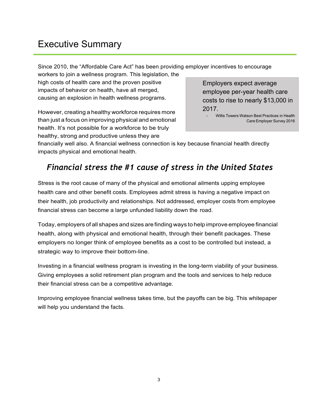# Executive Summary

Since 2010, the "Affordable Care Act" has been providing employer incentives to encourage

workers to join a wellness program. This legislation, the high costs of health care and the proven positive impacts of behavior on health, have all merged, causing an explosion in health wellness programs.

However, creating a healthy workforce requires more than just a focus on improving physical and emotional health. It's not possible for a workforce to be truly healthy, strong and productive unless they are

Employers expect average employee per-year health care costs to rise to nearly \$13,000 in 2017.

- Willis Towers Watson Best Practices in Health Care Employer Survey 2016

financially well also. A financial wellness connection is key because financial health directly impacts physical and emotional health.

## *Financial stress the #1 cause of stress in the United States*

Stress is the root cause of many of the physical and emotional ailments upping employee health care and other benefit costs. Employees admit stress is having a negative impact on their health, job productivity and relationships. Not addressed, employer costs from employee financial stress can become a large unfunded liability down the road.

Today, employers of all shapes and sizes are finding ways to help improve employee financial health, along with physical and emotional health, through their benefit packages. These employers no longer think of employee benefits as a cost to be controlled but instead, a strategic way to improve their bottom-line.

Investing in a financial wellness program is investing in the long-term viability of your business. Giving employees a solid retirement plan program and the tools and services to help reduce their financial stress can be a competitive advantage.

Improving employee financial wellness takes time, but the payoffs can be big. This whitepaper will help you understand the facts.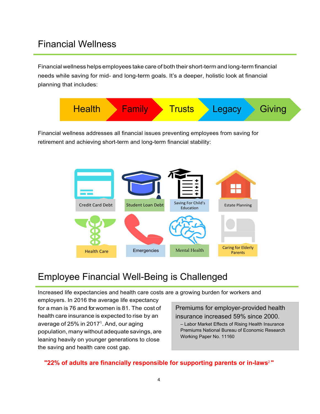## Financial Wellness

Financial wellness helps employees take care of both their short-term and long-term financial needs while saving for mid- and long-term goals. It's a deeper, holistic look at financial planning that includes:



Financial wellness addresses all financial issues preventing employees from saving for retirement and achieving short-term and long-term financial stability:



# Employee Financial Well-Being is Challenged

Increased life expectancies and health care costs are a growing burden for workers and

employers. In 2016 the average life expectancy for a man is 76 and for women is 81. The cost of health care insurance is expected to rise by an average of 25% in 2017 $^1$ . And, our aging population, many without adequate savings, are leaning heavily on younger generations to close the saving and health care cost gap.

Premiums for employer-provided health insurance increased 59% since 2000.

– Labor Market Effects of Rising Health Insurance Premiums National Bureau of Economic Research Working Paper No. 11160

**"22% of adults are financially responsible for supporting parents or in-laws**<sup>2</sup>**"**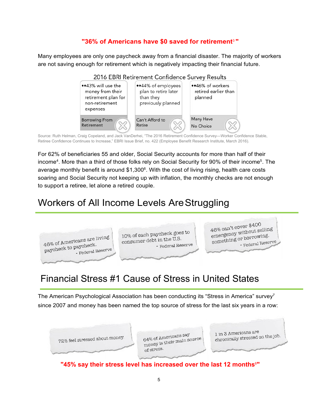## **"36% of Americans have \$0 saved for retirement**3 **"**

Many employees are only one paycheck away from a financial disaster. The majority of workers are not saving enough for retirement which is negatively impacting their financial future.



Source: Ruth Helman, Craig Copeland, and Jack VanDerhei, "The 2016 Retirement Confidence Survey—Worker Confidence Stable, Retiree Confidence Continues to Increase," EBRI Issue Brief, no. 422 (Employee Benefit Research Institute, March 2016).

For 62% of beneficiaries 55 and older, Social Security accounts for more than half of their income<sup>4</sup>. More than a third of those folks rely on Social Security for 90% of their income<sup>5</sup>. The average monthly benefit is around  $$1,300^\circ$ . With the cost of living rising, health care costs soaring and Social Security not keeping up with inflation, the monthly checks are not enough to support a retiree, let alone a retired couple.

# Workers of All Income Levels AreStruggling



# Financial Stress #1 Cause of Stress in United States

The American Psychological Association has been conducting its "Stress in America" survey<sup>7</sup> since 2007 and money has been named the top source of stress for the last six years in a row:



**"45% say their stress level has increased over the last 12 months**<sup>8</sup> **"**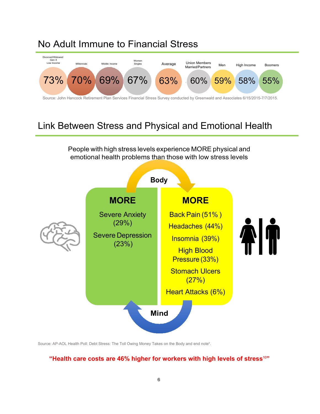# No Adult Immune to Financial Stress



# Link Between Stress and Physical and Emotional Health

People with high stress levels experience MORE physical and emotional health problems than those with low stress levels



Source: AP-AOL Health Poll: Debt Stress: The Toll Owing Money Takes on the Body and end note<sup>9</sup>.

## **"Health care costs are 46% higher for workers with high levels of stress**<sup>10</sup>**"**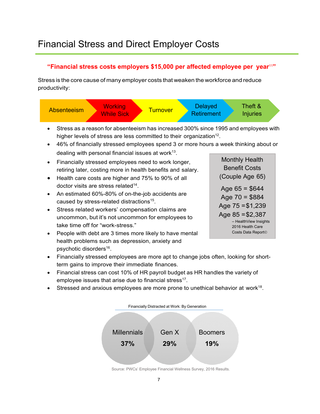### **"Financial stress costs employers \$15,000 per affected employee per year**<sup>11</sup>**"**

Stress is the core cause of many employer costs that weaken the workforce and reduce productivity:



- Stress as a reason for absenteeism has increased 300% since 1995 and employees with higher levels of stress are less committed to their organization<sup>12</sup>.
- 46% of financially stressed employees spend 3 or more hours a week thinking about or dealing with personal financial issues at work $13$ .
- Financially stressed employees need to work longer, retiring later, costing more in health benefits and salary.
- Health care costs are higher and 75% to 90% of all doctor visits are stress related $14$ .
- An estimated 60%-80% of on-the-job accidents are caused by stress-related distractions<sup>15</sup>.
- Stress related workers' compensation claims are uncommon, but it's not uncommon for employees to take time off for "work-stress."
- People with debt are 3 times more likely to have mental health problems such as depression, anxiety and psychotic disorders<sup>16</sup>.

Monthly Health Benefit Costs (Couple Age 65) Age  $65 = $644$ Age  $70 = $884$ Age  $75 = $1,239$ Age  $85 = $2,387$ – HealthView Insights 2016 Health Care Costs Data Report<sup>®</sup>

- Financially stressed employees are more apt to change jobs often, looking for shortterm gains to improve their immediate finances.
- Financial stress can cost 10% of HR payroll budget as HR handles the variety of employee issues that arise due to financial stress $17$ .
- Stressed and anxious employees are more prone to unethical behavior at work<sup>18</sup>.



Source: PWCs' Employee Financial Wellness Survey, 2016 Results.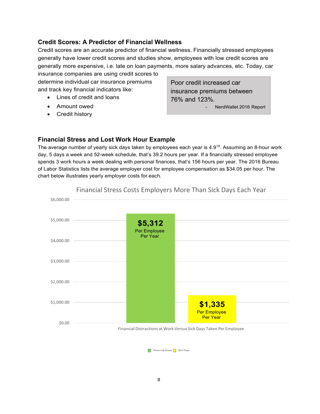#### **Credit Scores: A Predictor of Financial Wellness**

Credit scores are an accurate predictor of financial wellness. Financially stressed employees generally have lower credit scores and studies show, employees with low credit scores are generally more expensive, i.e. late on loan payments, more salary advances, etc. Today, car

insurance companies are using credit scores to determine individual car insurance premiums and track key financial indicators like:

- Lines of credit and loans
- Amount owed
- Credit history

Poor credit increased car insurance premiums between 76% and 123%.

NerdWallet 2016 Report

#### **Financial Stress and Lost Work Hour Example**

The average number of yearly sick days taken by employees each year is 4.9<sup>19</sup>. Assuming an 8-hour work day, 5 days a week and 52-week schedule, that's 39.2 hours per year. If a financially stressed employee spends 3 work hours a week dealing with personal finances, that's 156 hours per year. The 2016 Bureau of Labor Statistics lists the average employer cost for employee compensation as \$34.05 per hour. The chart below illustrates yearly employer costs for each.



Financial Stress Sick Days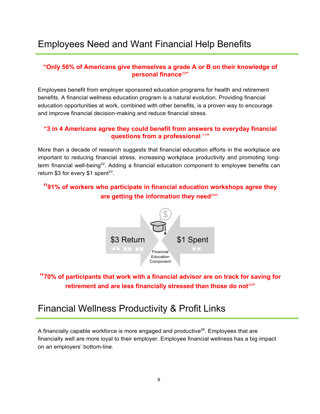# Employees Need and Want Financial Help Benefits

#### **"Only 56% of Americans give themselves a grade A or B on their knowledge of personal finance**<sup>20</sup>**"**

Employees benefit from employer sponsored education programs for health and retirement benefits. A financial wellness education program is a natural evolution. Providing financial education opportunities at work, combined with other benefits, is a proven way to encourage and improve financial decision-making and reduce financial stress.

### **"3 in 4 Americans agree they could benefit from answers to everyday financial questions from a professional** <sup>21</sup>**"**

More than a decade of research suggests that financial education efforts in the workplace are important to reducing financial stress, increasing workplace productivity and promoting longterm financial well-being<sup>22</sup>. Adding a financial education component to employee benefits can return \$3 for every \$1 spent $23$ .

## **"91% of workers who participate in financial education workshops agree they are getting the information they need**<sup>24</sup>**"**



## **"70% of participants that work with a financial advisor are on track for saving for retirement and are less financially stressed than those do not**<sup>25</sup>**"**

## Financial Wellness Productivity & Profit Links

A financially capable workforce is more engaged and productive<sup>26</sup>. Employees that are financially well are more loyal to their employer. Employee financial wellness has a big impact on an employers' bottom-line.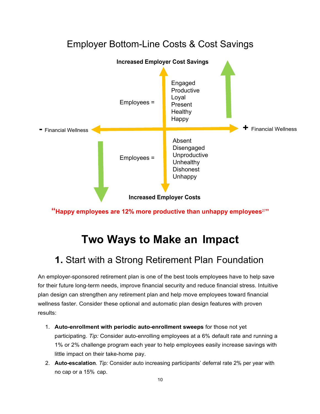# Employer Bottom-Line Costs & Cost Savings



**"Happy employees are 12% more productive than unhappy employees**<sup>27</sup>**"**

# **Two Ways to Make an Impact**

## **1.** Start with a Strong Retirement Plan Foundation

An employer-sponsored retirement plan is one of the best tools employees have to help save for their future long-term needs, improve financial security and reduce financial stress. Intuitive plan design can strengthen any retirement plan and help move employees toward financial wellness faster. Consider these optional and automatic plan design features with proven results:

- 1. **Auto-enrollment with periodic auto-enrollment sweeps** for those not yet participating. *Tip:* Consider auto-enrolling employees at a 6% default rate and running a 1% or 2% challenge program each year to help employees easily increase savings with little impact on their take-home pay.
- 2. **Auto-escalation**. *Tip:* Consider auto increasing participants' deferral rate 2% per year with no cap or a 15% cap.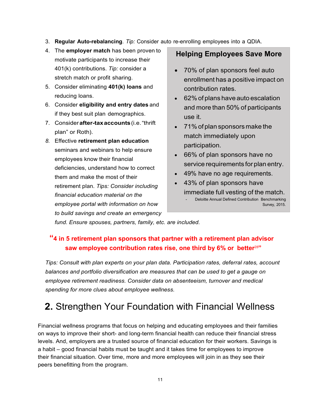- 3. **Regular Auto-rebalancing**. *Tip:* Consider auto re-enrolling employees into a QDIA.
- 4. The **employer match** has been proven to motivate participants to increase their 401(k) contributions. *Tip:* consider a stretch match or profit sharing.
- 5. Consider eliminating **401(k) loans** and reducing loans.
- 6. Consider **eligibility and entry dates** and if they best suit plan demographics.
- 7. Consider**after-taxaccounts**(i.e."thrift plan" or Roth).
- *8.* Effective **retirement plan education**  seminars and webinars to help ensure employees know their financial deficiencies, understand how to correct them and make the most of their retirement plan. *Tips: Consider including financial education material on the employee portal with information on how to build savings and create an emergency*

## **Helping Employees Save More**

- 70% of plan sponsors feel auto enrollment has a positive impact on contribution rates.
- 62% of plans have auto escalation and more than 50% of participants use it.
- 71% of plan sponsors make the match immediately upon participation.
- 66% of plan sponsors have no service requirements for plan entry.
- 49% have no age requirements.
- 43% of plan sponsors have immediate full vesting of the match. Deloitte Annual Defined Contribution Benchmarking Survey, 2015.

*fund. Ensure spouses, partners, family, etc. are included.*

## **"4 in 5 retirement plan sponsors that partner with a retirement plan advisor saw employee contribution rates rise, one third by 6% or better**<sup>28</sup>**"**

*Tips: Consult with plan experts on your plan data. Participation rates, deferral rates, account balances and portfolio diversification are measures that can be used to get a gauge on employee retirement readiness. Consider data on absenteeism, turnover and medical spending for more clues about employee wellness.*

# **2.** Strengthen Your Foundation with Financial Wellness

Financial wellness programs that focus on helping and educating employees and their families on ways to improve their short- and long-term financial health can reduce their financial stress levels. And, employers are a trusted source of financial education for their workers. Savings is a habit – good financial habits must be taught and it takes time for employees to improve their financial situation. Over time, more and more employees will join in as they see their peers benefitting from the program.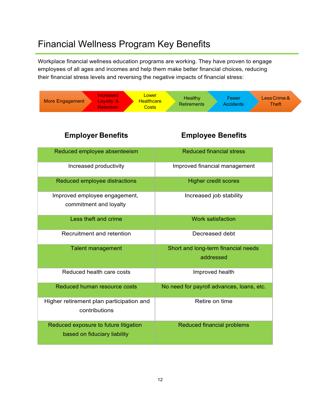# Financial Wellness Program Key Benefits

Workplace financial wellness education programs are working. They have proven to engage employees of all ages and incomes and help them make better financial choices, reducing their financial stress levels and reversing the negative impacts of financial stress:

| Lower<br><b>Increased</b><br>More Engagement<br>Loyalty &<br><b>Healthcare</b><br><b>Costs</b><br><b>Retention</b> | Healthy<br>Fewer<br>Less Crime &<br><b>Retirements</b><br><b>Accidents</b><br><b>Theft</b> |  |  |
|--------------------------------------------------------------------------------------------------------------------|--------------------------------------------------------------------------------------------|--|--|
| <b>Employer Benefits</b>                                                                                           | <b>Employee Benefits</b>                                                                   |  |  |
| Reduced employee absenteeism                                                                                       | <b>Reduced financial stress</b>                                                            |  |  |
| Increased productivity                                                                                             | Improved financial management                                                              |  |  |
| Reduced employee distractions                                                                                      | <b>Higher credit scores</b>                                                                |  |  |
| Improved employee engagement,<br>commitment and loyalty                                                            | Increased job stability                                                                    |  |  |
| Less theft and crime                                                                                               | <b>Work satisfaction</b>                                                                   |  |  |
| Recruitment and retention                                                                                          | Decreased debt                                                                             |  |  |
| <b>Talent management</b>                                                                                           | Short and long-term financial needs<br>addressed                                           |  |  |
| Reduced health care costs                                                                                          | Improved health                                                                            |  |  |
| Reduced human resource costs                                                                                       | No need for payroll advances, loans, etc.                                                  |  |  |
| Higher retirement plan participation and<br>contributions                                                          | Retire on time                                                                             |  |  |
| Reduced exposure to future litigation<br>based on fiduciary liability                                              | <b>Reduced financial problems</b>                                                          |  |  |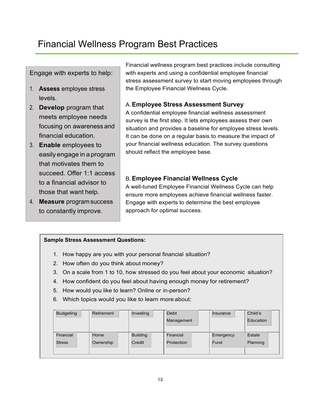# Financial Wellness Program Best Practices

Engage with experts to help:

- 1. **Assess** employee stress levels.
- 2. **Develop** program that meets employee needs focusing on awareness and financial education.
- 3. **Enable** employees to easily engage in a program that motivates them to succeed. Offer 1:1 access to a financial advisor to those that want help.
- 4. **Measure** programsuccess to constantly improve.

Financial wellness program best practices include consulting with experts and using a confidential employee financial stress assessment survey to start moving employees through the Employee Financial Wellness Cycle.

#### A.**Employee Stress Assessment Survey**

A confidential employee financial wellness assessment survey is the first step. It lets employees assess their own situation and provides a baseline for employee stress levels. It can be done on a regular basis to measure the impact of your financial wellness education. The survey questions should reflect the employee base.

## B.**Employee Financial Wellness Cycle**

A well-tuned Employee Financial Wellness Cycle can help ensure more employees achieve financial wellness faster. Engage with experts to determine the best employee approach for optimal success.

### **Sample Stress Assessment Questions:**

- 1. How happy are you with your personal financial situation?
- 2. How often do you think about money?
- 3. On a scale from 1 to 10, how stressed do you feel about your economic situation?
- 4. How confident do you feel about having enough money for retirement?
- 5. How would you like to learn? Online or in-person?
- 6. Which topics would you like to learn more about:

| <b>Budgeting</b> | Retirement | Investing       | Debt<br>Management | Insurance | Child's<br>Education |
|------------------|------------|-----------------|--------------------|-----------|----------------------|
| Financial        | Home       | <b>Building</b> | Financial          | Emergency | Estate               |
| <b>Stress</b>    | Ownership  | Credit          | Protection         | Fund      | Planning             |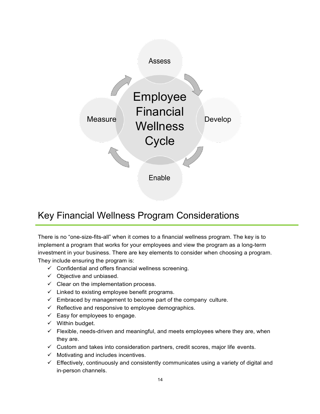

# Key Financial Wellness Program Considerations

There is no "one-size-fits-all" when it comes to a financial wellness program. The key is to implement a program that works for your employees and view the program as a long-term investment in your business. There are key elements to consider when choosing a program. They include ensuring the program is:

- $\checkmark$  Confidential and offers financial wellness screening.
- $\checkmark$  Objective and unbiased.
- $\checkmark$  Clear on the implementation process.
- $\checkmark$  Linked to existing employee benefit programs.
- $\checkmark$  Embraced by management to become part of the company culture.
- $\checkmark$  Reflective and responsive to employee demographics.
- $\checkmark$  Easy for employees to engage.
- $\checkmark$  Within budget.
- $\checkmark$  Flexible, needs-driven and meaningful, and meets employees where they are, when they are.
- $\checkmark$  Custom and takes into consideration partners, credit scores, major life events.
- $\checkmark$  Motivating and includes incentives.
- $\checkmark$  Effectively, continuously and consistently communicates using a variety of digital and in-person channels.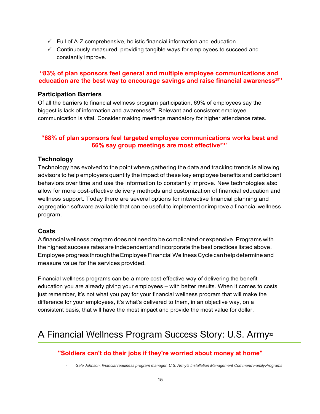- $\checkmark$  Full of A-Z comprehensive, holistic financial information and education.
- $\checkmark$  Continuously measured, providing tangible ways for employees to succeed and constantly improve.

### **"83% of plan sponsors feel general and multiple employee communications and education are the best way to encourage savings and raise financial awareness**<sup>29</sup>**"**

#### **Participation Barriers**

Of all the barriers to financial wellness program participation, 69% of employees say the biggest is lack of information and awareness $30$ . Relevant and consistent employee communication is vital. Consider making meetings mandatory for higher attendance rates.

### **"68% of plan sponsors feel targeted employee communications works best and 66% say group meetings are most effective**<sup>31</sup>**"**

### **Technology**

Technology has evolved to the point where gathering the data and tracking trends is allowing advisors to help employers quantify the impact of these key employee benefits and participant behaviors over time and use the information to constantly improve. New technologies also allow for more cost-effective delivery methods and customization of financial education and wellness support. Today there are several options for interactive financial planning and aggregation software available that can be useful to implement or improve a financial wellness program.

### **Costs**

A financial wellness program does not need to be complicated or expensive. Programs with the highest success rates are independent and incorporate the best practices listed above. Employee progress through the Employee Financial Wellness Cycle can help determine and measure value for the services provided.

Financial wellness programs can be a more cost-effective way of delivering the benefit education you are already giving your employees – with better results. When it comes to costs just remember, it's not what you pay for your financial wellness program that will make the difference for your employees, it's what's delivered to them, in an objective way, on a consistent basis, that will have the most impact and provide the most value for dollar.

# A Financial Wellness Program Success Story: U.S. Army<sup>32</sup>

## **"Soldiers can't do their jobs if they're worried about money at home"**

- *Gale Johnson, financial readiness program manager, U.S. Army's Installation Management Command FamilyPrograms*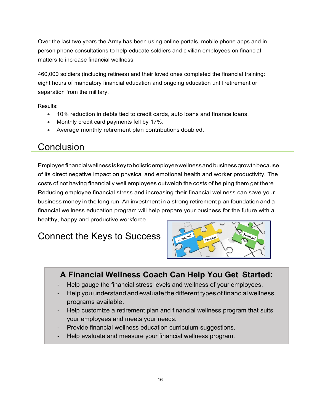Over the last two years the Army has been using online portals, mobile phone apps and inperson phone consultations to help educate soldiers and civilian employees on financial matters to increase financial wellness.

460,000 soldiers (including retirees) and their loved ones completed the financial training: eight hours of mandatory financial education and ongoing education until retirement or separation from the military.

Results:

- 10% reduction in debts tied to credit cards, auto loans and finance loans.
- Monthly credit card payments fell by 17%.
- Average monthly retirement plan contributions doubled.

## **Conclusion**

Employeefinancialwellnessiskeytoholisticemployeewellnessandbusinessgrowthbecause of its direct negative impact on physical and emotional health and worker productivity. The costs of not having financially well employees outweigh the costs of helping them get there. Reducing employee financial stress and increasing their financial wellness can save your business money in the long run. An investment in a strong retirement plan foundation and a financial wellness education program will help prepare your business for the future with a healthy, happy and productive workforce.

# Connect the Keys to Success



## **A Financial Wellness Coach Can Help You Get Started:**

- Help gauge the financial stress levels and wellness of your employees.
- Help you understand and evaluate the different types of financial wellness programs available.
- Help customize a retirement plan and financial wellness program that suits your employees and meets your needs.
- Provide financial wellness education curriculum suggestions.
- Help evaluate and measure your financial wellness program.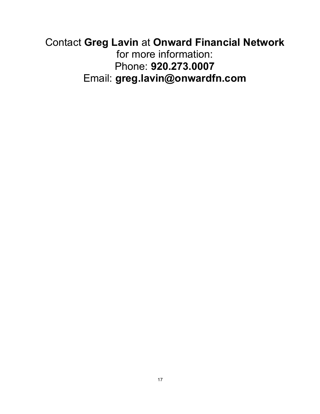# Contact **Greg Lavin** at **Onward Financial Network** for more information: Phone: **920.273.0007**  Email: **greg.lavin@onwardfn.com**